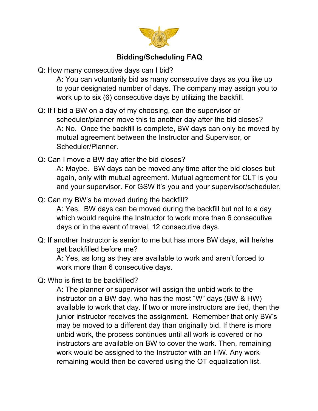

## **Bidding/Scheduling FAQ**

Q: How many consecutive days can I bid?

A: You can voluntarily bid as many consecutive days as you like up to your designated number of days. The company may assign you to work up to six (6) consecutive days by utilizing the backfill.

Q: If I bid a BW on a day of my choosing, can the supervisor or scheduler/planner move this to another day after the bid closes? A: No. Once the backfill is complete, BW days can only be moved by mutual agreement between the Instructor and Supervisor, or Scheduler/Planner.

Q: Can I move a BW day after the bid closes?

A: Maybe. BW days can be moved any time after the bid closes but again, only with mutual agreement. Mutual agreement for CLT is you and your supervisor. For GSW it's you and your supervisor/scheduler.

## Q: Can my BW's be moved during the backfill?

A: Yes. BW days can be moved during the backfill but not to a day which would require the Instructor to work more than 6 consecutive days or in the event of travel, 12 consecutive days.

Q: If another Instructor is senior to me but has more BW days, will he/she get backfilled before me?

A: Yes, as long as they are available to work and aren't forced to work more than 6 consecutive days.

Q: Who is first to be backfilled?

A: The planner or supervisor will assign the unbid work to the instructor on a BW day, who has the most "W" days (BW & HW) available to work that day. If two or more instructors are tied, then the junior instructor receives the assignment. Remember that only BW's may be moved to a different day than originally bid. If there is more unbid work, the process continues until all work is covered or no instructors are available on BW to cover the work. Then, remaining work would be assigned to the Instructor with an HW. Any work remaining would then be covered using the OT equalization list.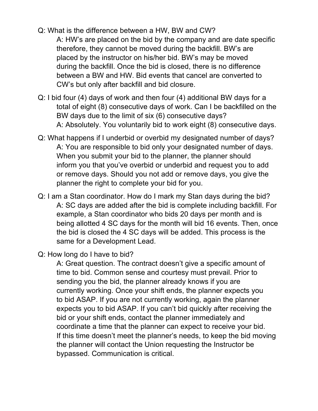- Q: What is the difference between a HW, BW and CW? A: HW's are placed on the bid by the company and are date specific therefore, they cannot be moved during the backfill. BW's are placed by the instructor on his/her bid. BW's may be moved during the backfill. Once the bid is closed, there is no difference between a BW and HW. Bid events that cancel are converted to CW's but only after backfill and bid closure.
- Q: I bid four (4) days of work and then four (4) additional BW days for a total of eight (8) consecutive days of work. Can I be backfilled on the BW days due to the limit of six (6) consecutive days? A: Absolutely. You voluntarily bid to work eight (8) consecutive days.
- Q: What happens if I underbid or overbid my designated number of days? A: You are responsible to bid only your designated number of days. When you submit your bid to the planner, the planner should inform you that you've overbid or underbid and request you to add or remove days. Should you not add or remove days, you give the planner the right to complete your bid for you.
- Q: I am a Stan coordinator. How do I mark my Stan days during the bid? A: SC days are added after the bid is complete including backfill. For example, a Stan coordinator who bids 20 days per month and is being allotted 4 SC days for the month will bid 16 events. Then, once the bid is closed the 4 SC days will be added. This process is the same for a Development Lead.
- Q: How long do I have to bid?

A: Great question. The contract doesn't give a specific amount of time to bid. Common sense and courtesy must prevail. Prior to sending you the bid, the planner already knows if you are currently working. Once your shift ends, the planner expects you to bid ASAP. If you are not currently working, again the planner expects you to bid ASAP. If you can't bid quickly after receiving the bid or your shift ends, contact the planner immediately and coordinate a time that the planner can expect to receive your bid. If this time doesn't meet the planner's needs, to keep the bid moving the planner will contact the Union requesting the Instructor be bypassed. Communication is critical.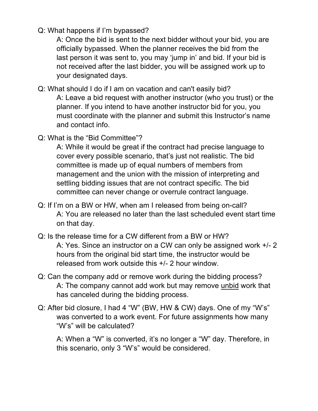Q: What happens if I'm bypassed?

A: Once the bid is sent to the next bidder without your bid, you are officially bypassed. When the planner receives the bid from the last person it was sent to, you may 'jump in' and bid. If your bid is not received after the last bidder, you will be assigned work up to your designated days.

Q: What should I do if I am on vacation and can't easily bid?

A: Leave a bid request with another instructor (who you trust) or the planner. If you intend to have another instructor bid for you, you must coordinate with the planner and submit this Instructor's name and contact info.

Q: What is the "Bid Committee"?

A: While it would be great if the contract had precise language to cover every possible scenario, that's just not realistic. The bid committee is made up of equal numbers of members from management and the union with the mission of interpreting and settling bidding issues that are not contract specific. The bid committee can never change or overrule contract language.

- Q: If I'm on a BW or HW, when am I released from being on-call? A: You are released no later than the last scheduled event start time on that day.
- Q: Is the release time for a CW different from a BW or HW? A: Yes. Since an instructor on a CW can only be assigned work +/- 2 hours from the original bid start time, the instructor would be released from work outside this +/- 2 hour window.
- Q: Can the company add or remove work during the bidding process? A: The company cannot add work but may remove unbid work that has canceled during the bidding process.
- Q: After bid closure, I had 4 "W" (BW, HW & CW) days. One of my "W's" was converted to a work event. For future assignments how many "W's" will be calculated?

A: When a "W" is converted, it's no longer a "W" day. Therefore, in this scenario, only 3 "W's" would be considered.